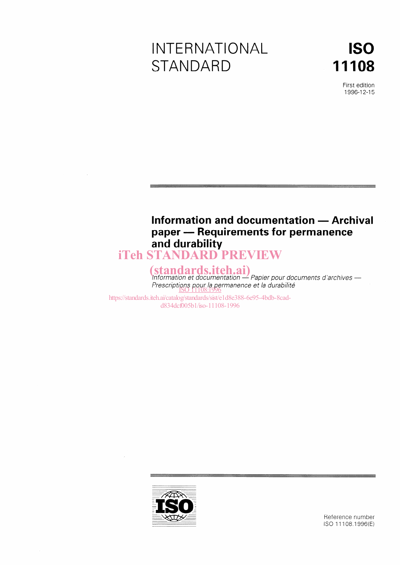# INTERNATIONAL STANDARD



First edition 1996-12-15

## Information and documentation - Archival paper - Requirements for permanence and durabilit iTeh STANDARD PREVIEW

(standards.iteh.ai)<br>Information et documentation - Papier pour documents d'archives -Prescriptions pour la permanence et la durabilite<br><u>ISO 11108:1996</u>

https://standards.iteh.ai/catalog/standards/sist/e1d8e388-6e95-4bdb-8cadd834dcf005b1/iso-11108-1996



Reference number ISO 11108:1996(E)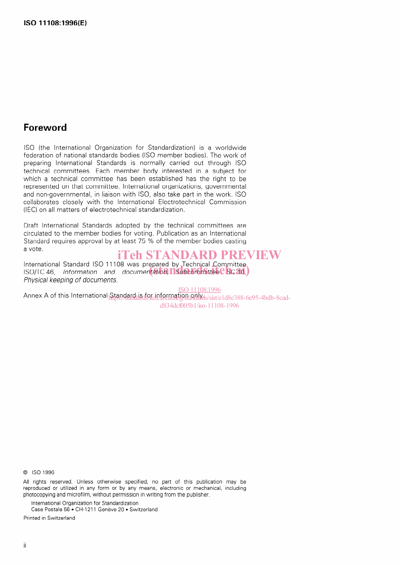### Foreword

ISO (the International Organization for Standardization) is a worldwide federation of national standards bodies (ISO member bodies). The work of preparing International Standards is normally carried out through ISO technical committees. Esch member body interested in a subject for which a technical committee has been established has the right to be represented on that committee. International organizations, governmental and non-governmental, in liaison with ISO, also take part in the work. ISO collaborates closely with the International Electrotechnical Commission (IEC) on all matters of electrotechnical standardization.

Draft International Standards adopted by the technical committees are circulated to the member bodies for voting. Publication as an International Standard requires approval by at least 75 % of the member bodies casting a vote.

### iTeh STANDARD PREVIEW

International Standard ISO 11108 was prepared by Technical Committee international Standard ISO ITTU8 was prepared by Technical Committee<br>ISO/TC 46, Information and documentatio**n, ITSubcommittee CSC 10,** Physical keeping of documents.

Annex A of this International Standard is for information and risk is ideas 88-6e95-4bdb-8cad-ISO 11108:1996 d834dcf005b1/iso-11108-1996

0 ISO 1996

All rights reserved. Unless otherwise specified, no part of this publication may be reproduced or utilized in any form or by any means, electronie or mechanical, including photocopying and microfilm, without permission in writing from the publisher.

International Organization for Standardization

Case Postale 56 · CH-1211 Genève 20 · Switzerland

Printed in Switzerland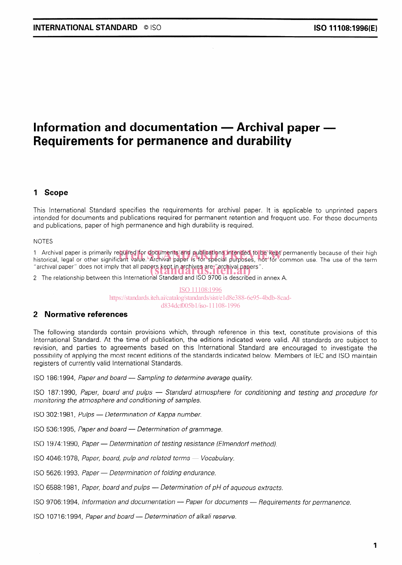# Information and documentation  $-$  Archival paper  $-$ Requirements for permanence and durability

#### 1 Scope

This International Standard specifies the requirements for archival paper. It is applicable to unprinted papers intended for documents and publications required for permanent retention and frequent use. For these documents and publications, paper of high permanence and high durability is required.

NOTES

1 Archival paper is primarily required for documents and publications intended to be kept permanently because of their high<br>historical, legal or other significant value. Archival paper is for special purposes, not for co historical, legal or other significant value. Archival paper is for special purposes, not for common use. The use of the term "archival Paper" does not imply that all Papers kept in archives are "archival Papers". (standards.iteh.ai)

2 The relationship between this International Standard and ISO 9706 is described in annex A.

ISO 11108:1996 https://standards.iteh.ai/catalog/standards/sist/e1d8e388-6e95-4bdb-8cadd834dcf005b1/iso-11108-1996

#### 2 Normative references

The following standards contain provisions which, through reference in this text, constitute provisions of this International Standard. At the time of publication, the editions indicated were valid. All Standards are subject to revision, and parties to agreements based on this International Standard are encouraged to investigate the possibility of applying the most recent editions of the Standards indicated below. Members of IEC and ISO maintain registers of currently valid International Standards.

ISO 186:1994, Paper and board - Sampling to determine average quality.

ISO 187:1990, Paper, board and pulps - Standard atmosphere for conditioning and testing and procedure for monitoring the atmosphere and conditioning of samples.

ISO 302:1981, Pulps - Determination of Kappa number.

ISO 536:1995, Paper and board - Determination of grammage.

ISO 1974: 1990, Paper - Determination of testing resistance (Elmendorf method).

ISO 4046:1978, Paper, board, pulp and related terms - Vocabulary.

ISO 5626:1993, Paper - Determination of folding endurance.

 $ISO$  6588:1981, Paper, board and pulps  $-$  Determination of pH of aqueous extracts.

ISO 9706:1994, Information and documentation - Paper for documents - Requirements for permanence.

ISO 10716:1994, Paper and board - Determination of alkali reserve.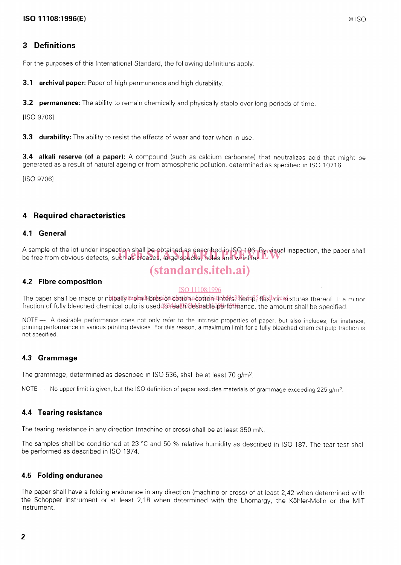#### 3 Definitions

For the purposes of this International Standard, the following definitions apply.

**3.1 archival paper:** Paper of high permanence and high durability.

**3.2 permanence:** The ability to remain chemically and physically stable over long periods of time.

[ISO 97061

**3.3 durability:** The ability to resist the effects of wear and tear when in use.

3.4 alkali reserve (of a paper): A compound (such as calcium carbonate) that neutralizes acid that might be generated as a result of natural ageing or from atmospheric pollution, determined as specified in ISO 10716.

[ISO 97061

#### 4 Required characteristics

#### 4.1 General

A sample of the lot under inspection shall be obtained as described in ISO 186. By visual inspection, the paper shall A sample of the lot under inspection shall be obtained as described in ISO 186. By visual ir<br>be free from obvious defects, such as creases, large specks, holes and wrinkles.

# (standards.iteh.ai)

#### 4.2 Fibre composition

#### ISO 11108:1996

The paper shall be made principally thom tibres is the undertition of the season. The paper shall be made a minor fraction of fully bleached chemical pulp is usedd&readM@esirable10erfo0mance, the amount shall be specified

NOTE -- A desirable performance does not only refer to the intrinsic properties of paper, but also includes, for instance, printing performance in various printing devices. For this reason, a maximum limit for a fully bleached chemical pulp fraction is not specified.

#### 4.3 Grammage

The grammage, determined as described in ISO 536, shall be at least 70 g/m?

NOTE  $-$  No upper limit is given, but the ISO definition of paper excludes materials of grammage exceeding 225 g/m<sup>2</sup>.

#### 4.4 Tearing resistance

The tearing resistance in any direction (machine or cross) shall be at least 350 mN.

The samples shall be conditioned at 23 °C and 50 % relative humidity as described in ISO 187. The tear test shall be performed as described in ISO 1974.

#### 4.5 Folding endurance

The paper shall have a folding endurance in any direction (machine or cross) of at least 2,42 when determined with the Schopper instrument or at least 2,18 when determined with the Lhomargy, the Köhler-Molin or the MIT instrument.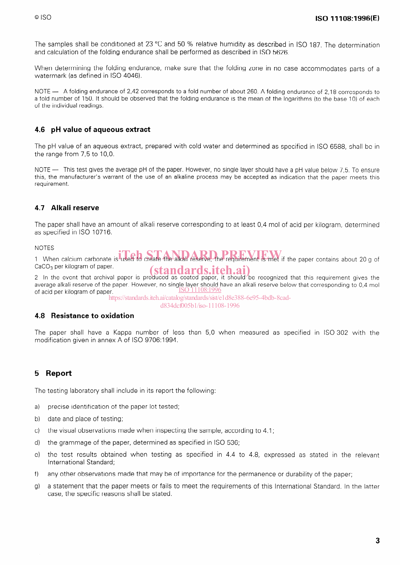The samples shall be conditioned at 23 °C and 50 % relative humidity as described in ISO 187. The determination and calculation of the folding endurance shall be performed as described in ISO 5626.

When determining the folding endurance, make sure that the folding zone in no case accommodates parts of a watermark (as defined in ISO 4046).

NOTE - A folding endurance of 2,42 corresponds to a fold number of about 260. A folding endurance of 2,18 corresponds to a fold number of 150. It should be observed that the folding endurance is the mean of the logarithms (to the base 10) of each of the individual readings.

#### 4.6 pH value of aqueous extract

The pH value of an aqueous extract, prepared with cold water and determined as specified in ISO 6588, shall be in the range from 7,5 to 10,O.

NOTE - This test gives the average pH of the paper. However, no single layer should have a pH value below 7.5. To ensure this, the manufacturer's warrant of the use of an alkaline process may be accepted as indication that the paper meets this requirement.

#### 4.7 Alkali reserve

The paper shall have an amount of alkali reserve corresponding to at least 0,4 mol of acid per kilogram, determined as specified in ISO 10716.

#### NOTES

In United States were carbonate is used to create the alkali reserve, the requirement is met if the paper contains about 20 g of CaCO<sub>2</sub> per kilogram of paper. CaCO<sub>3</sub> per kilogram of paper.<br>2 In the event that archival paper is produced as coated paper, it should be recognized that this requirement gives the

average alkali reserve of the paper. However, no single layer should have an alkali reserve below that corresponding to 0,4 mol of acid per kilogram of paper. ISO 11108:1996

https://standards.iteh.ai/catalog/standards/sist/e1d8e388-6e95-4bdb-8cad-

d834dcf005b1/iso-11108-1996

#### 4.8 Resistance to Oxidation

The Paper shall have a Kappa number of less than 5,0 when measured as specified in ISO 302 with the modification given in annex A of ISO 9706:1994.

#### 5 Report

The testing laboratory shall include in its report the following:

- a) precise identification of the paper lot tested;
- b) date and place of testing;
- c) the visual observations made when inspecting the Sample, according to 4.1;
- d) the grammage of the paper, determined as specified in ISO 536;
- e) the test results obtained when testing as specified in 4.4 to 4.8, expressed as stated in the relevant International Standard;
- f) any other observations made that may be of importance for the permanence or durability of the paper;
- g) a statement that the paper meets or fails to meet the requirements of this International Standard. In the latter case, the specific reasons shall be stated.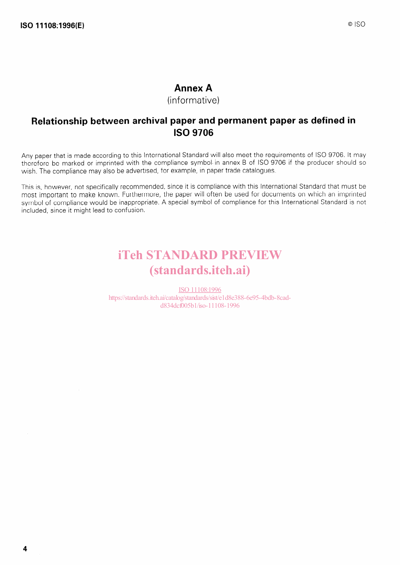### Annex A

(informative)

### Relationship between archival paper and permanent paper as defined in ISO 9706

Any paper that is made according to this International Standard will also meet the requirements of ISO 9706. It may therefore be marked or imprinted with the compliance symbol in annex B of ISO 9706 if the producer should so wish. The compliance may also be advertised, for example, in paper trade catalogues.

This is, however, not specifically recommended, since it is compliance with this International Standard that must be most important to make known. Furthermore, the paper will often be used for documents on which an imprinted symbol of compliance would be inappropriate. A special symbol of compliance for this International Standard is not included, since it might lead to confusion.

# iTeh STANDARD PREVIEW (standards.iteh.ai)

ISO 11108:1996 https://standards.iteh.ai/catalog/standards/sist/e1d8e388-6e95-4bdb-8cadd834dcf005b1/iso-11108-1996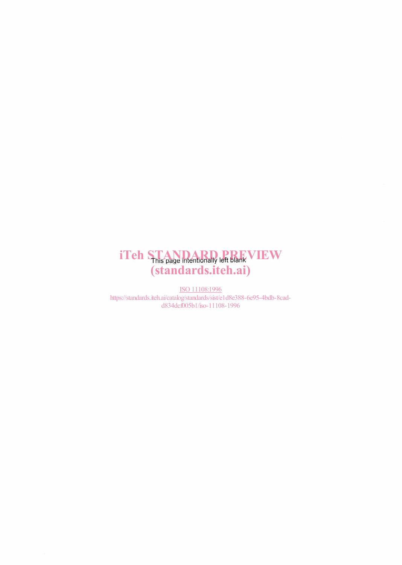# iTeh STANDARD PREVIEW (standards.iteh.ai)

ISO 11108:1996 https://standards.iteh.ai/catalog/standards/sist/e1d8e388-6e95-4bdb-8cadd834dcf005b1/iso-11108-1996